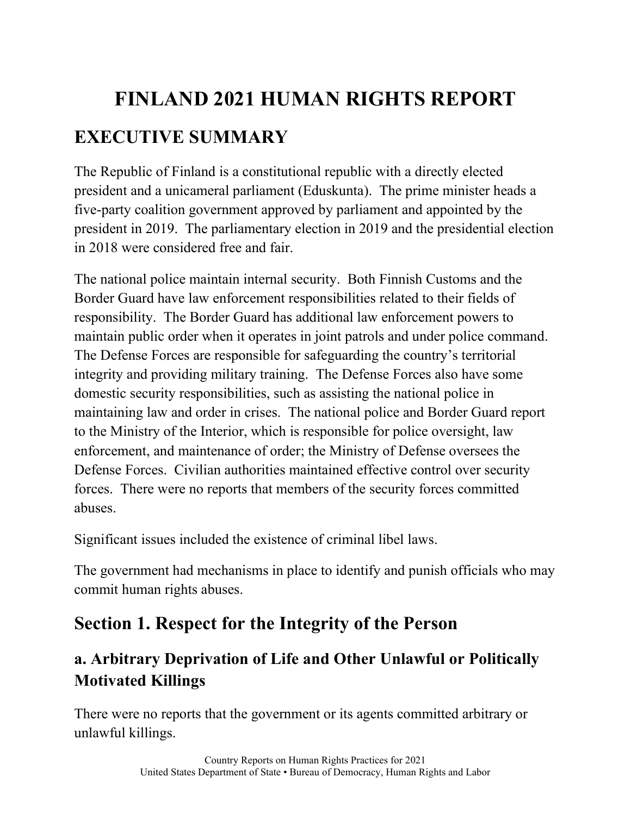# **FINLAND 2021 HUMAN RIGHTS REPORT EXECUTIVE SUMMARY**

The Republic of Finland is a constitutional republic with a directly elected president and a unicameral parliament (Eduskunta). The prime minister heads a five-party coalition government approved by parliament and appointed by the president in 2019. The parliamentary election in 2019 and the presidential election in 2018 were considered free and fair.

The national police maintain internal security. Both Finnish Customs and the Border Guard have law enforcement responsibilities related to their fields of responsibility. The Border Guard has additional law enforcement powers to maintain public order when it operates in joint patrols and under police command. The Defense Forces are responsible for safeguarding the country's territorial integrity and providing military training. The Defense Forces also have some domestic security responsibilities, such as assisting the national police in maintaining law and order in crises. The national police and Border Guard report to the Ministry of the Interior, which is responsible for police oversight, law enforcement, and maintenance of order; the Ministry of Defense oversees the Defense Forces. Civilian authorities maintained effective control over security forces. There were no reports that members of the security forces committed abuses.

Significant issues included the existence of criminal libel laws.

The government had mechanisms in place to identify and punish officials who may commit human rights abuses.

# **Section 1. Respect for the Integrity of the Person**

# **a. Arbitrary Deprivation of Life and Other Unlawful or Politically Motivated Killings**

There were no reports that the government or its agents committed arbitrary or unlawful killings.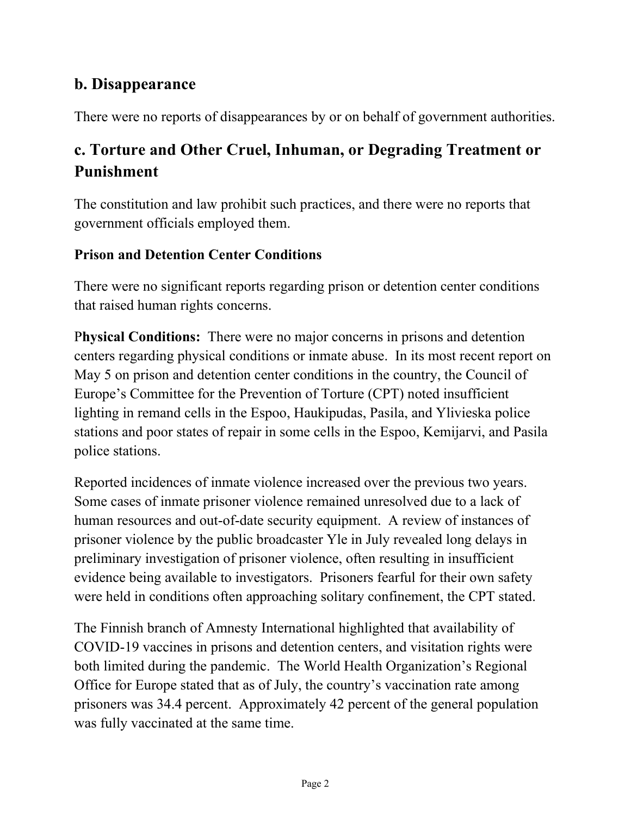### **b. Disappearance**

There were no reports of disappearances by or on behalf of government authorities.

# **c. Torture and Other Cruel, Inhuman, or Degrading Treatment or Punishment**

The constitution and law prohibit such practices, and there were no reports that government officials employed them.

#### **Prison and Detention Center Conditions**

There were no significant reports regarding prison or detention center conditions that raised human rights concerns.

P**hysical Conditions:** There were no major concerns in prisons and detention centers regarding physical conditions or inmate abuse. In its most recent report on May 5 on prison and detention center conditions in the country, the Council of Europe's Committee for the Prevention of Torture (CPT) noted insufficient lighting in remand cells in the Espoo, Haukipudas, Pasila, and Ylivieska police stations and poor states of repair in some cells in the Espoo, Kemijarvi, and Pasila police stations.

Reported incidences of inmate violence increased over the previous two years. Some cases of inmate prisoner violence remained unresolved due to a lack of human resources and out-of-date security equipment. A review of instances of prisoner violence by the public broadcaster Yle in July revealed long delays in preliminary investigation of prisoner violence, often resulting in insufficient evidence being available to investigators. Prisoners fearful for their own safety were held in conditions often approaching solitary confinement, the CPT stated.

The Finnish branch of Amnesty International highlighted that availability of COVID-19 vaccines in prisons and detention centers, and visitation rights were both limited during the pandemic. The World Health Organization's Regional Office for Europe stated that as of July, the country's vaccination rate among prisoners was 34.4 percent. Approximately 42 percent of the general population was fully vaccinated at the same time.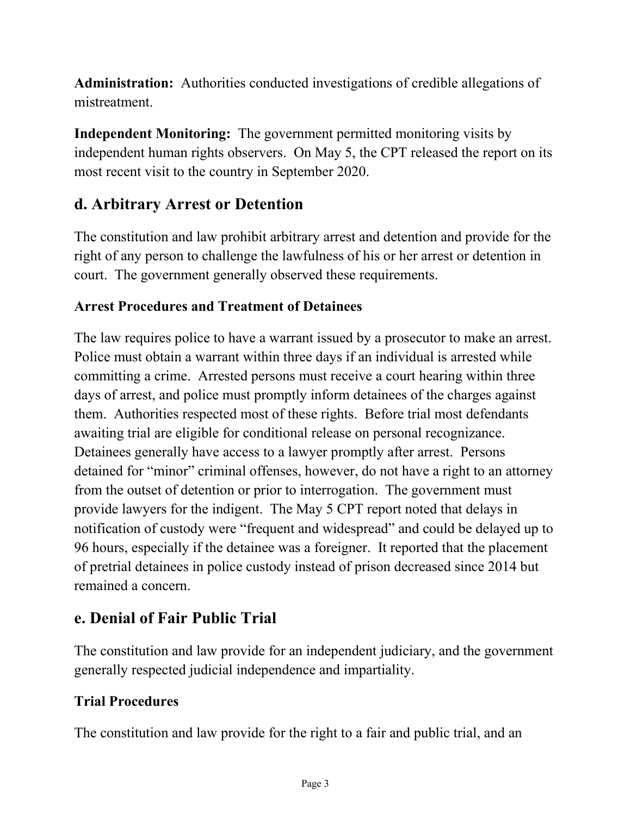**Administration:** Authorities conducted investigations of credible allegations of mistreatment.

**Independent Monitoring:** The government permitted monitoring visits by independent human rights observers. On May 5, the CPT released the report on its most recent visit to the country in September 2020.

# **d. Arbitrary Arrest or Detention**

The constitution and law prohibit arbitrary arrest and detention and provide for the right of any person to challenge the lawfulness of his or her arrest or detention in court. The government generally observed these requirements.

#### **Arrest Procedures and Treatment of Detainees**

The law requires police to have a warrant issued by a prosecutor to make an arrest. Police must obtain a warrant within three days if an individual is arrested while committing a crime. Arrested persons must receive a court hearing within three days of arrest, and police must promptly inform detainees of the charges against them. Authorities respected most of these rights. Before trial most defendants awaiting trial are eligible for conditional release on personal recognizance. Detainees generally have access to a lawyer promptly after arrest. Persons detained for "minor" criminal offenses, however, do not have a right to an attorney from the outset of detention or prior to interrogation. The government must provide lawyers for the indigent. The May 5 CPT report noted that delays in notification of custody were "frequent and widespread" and could be delayed up to 96 hours, especially if the detainee was a foreigner. It reported that the placement of pretrial detainees in police custody instead of prison decreased since 2014 but remained a concern.

### **e. Denial of Fair Public Trial**

The constitution and law provide for an independent judiciary, and the government generally respected judicial independence and impartiality.

#### **Trial Procedures**

The constitution and law provide for the right to a fair and public trial, and an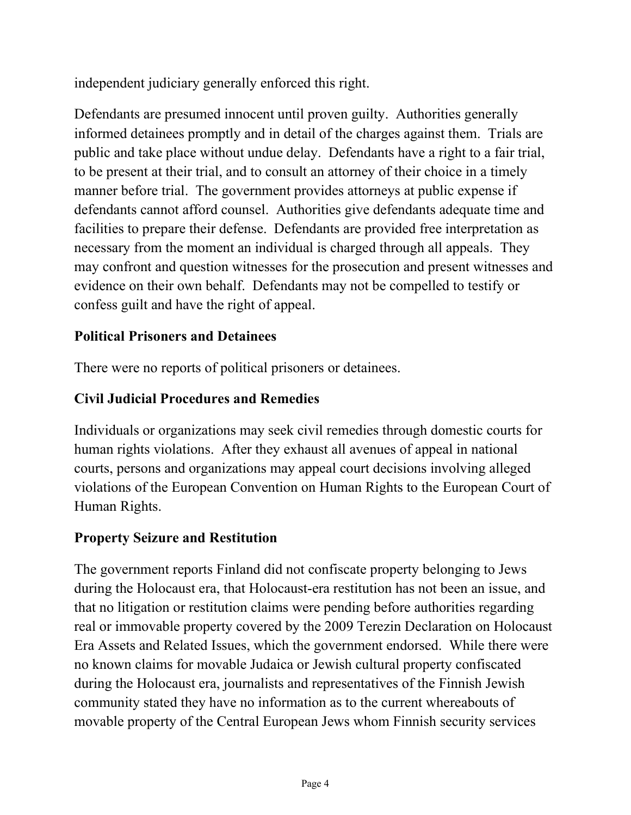independent judiciary generally enforced this right.

Defendants are presumed innocent until proven guilty. Authorities generally informed detainees promptly and in detail of the charges against them. Trials are public and take place without undue delay. Defendants have a right to a fair trial, to be present at their trial, and to consult an attorney of their choice in a timely manner before trial. The government provides attorneys at public expense if defendants cannot afford counsel. Authorities give defendants adequate time and facilities to prepare their defense. Defendants are provided free interpretation as necessary from the moment an individual is charged through all appeals. They may confront and question witnesses for the prosecution and present witnesses and evidence on their own behalf. Defendants may not be compelled to testify or confess guilt and have the right of appeal.

#### **Political Prisoners and Detainees**

There were no reports of political prisoners or detainees.

#### **Civil Judicial Procedures and Remedies**

Individuals or organizations may seek civil remedies through domestic courts for human rights violations. After they exhaust all avenues of appeal in national courts, persons and organizations may appeal court decisions involving alleged violations of the European Convention on Human Rights to the European Court of Human Rights.

#### **Property Seizure and Restitution**

The government reports Finland did not confiscate property belonging to Jews during the Holocaust era, that Holocaust-era restitution has not been an issue, and that no litigation or restitution claims were pending before authorities regarding real or immovable property covered by the 2009 Terezin Declaration on Holocaust Era Assets and Related Issues, which the government endorsed. While there were no known claims for movable Judaica or Jewish cultural property confiscated during the Holocaust era, journalists and representatives of the Finnish Jewish community stated they have no information as to the current whereabouts of movable property of the Central European Jews whom Finnish security services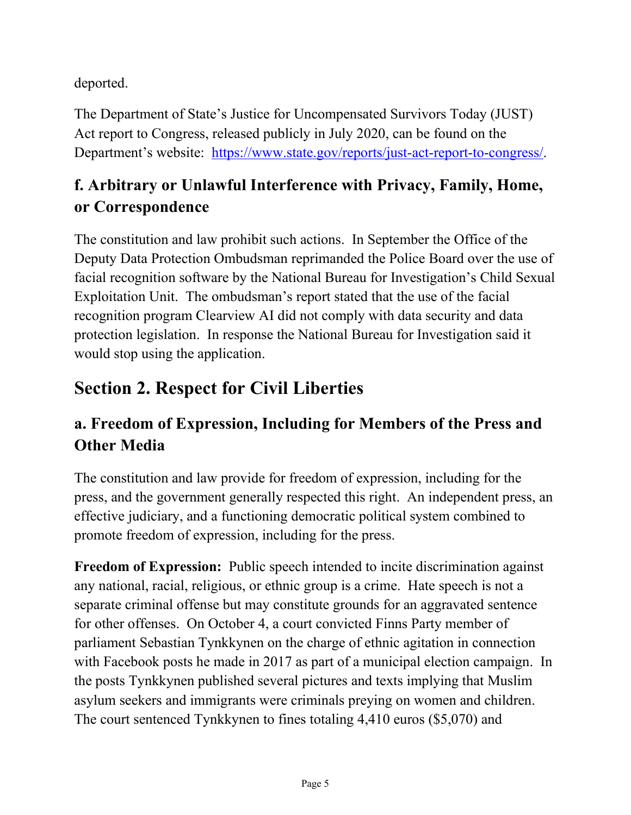deported.

The Department of State's Justice for Uncompensated Survivors Today (JUST) Act report to Congress, released publicly in July 2020, can be found on the Department's website: [https://www.state.gov/reports/just-act-report-to-congress/.](https://www.state.gov/reports/just-act-report-to-congress/)

# **f. Arbitrary or Unlawful Interference with Privacy, Family, Home, or Correspondence**

The constitution and law prohibit such actions. In September the Office of the Deputy Data Protection Ombudsman reprimanded the Police Board over the use of facial recognition software by the National Bureau for Investigation's Child Sexual Exploitation Unit. The ombudsman's report stated that the use of the facial recognition program Clearview AI did not comply with data security and data protection legislation. In response the National Bureau for Investigation said it would stop using the application.

# **Section 2. Respect for Civil Liberties**

# **a. Freedom of Expression, Including for Members of the Press and Other Media**

The constitution and law provide for freedom of expression, including for the press, and the government generally respected this right. An independent press, an effective judiciary, and a functioning democratic political system combined to promote freedom of expression, including for the press.

**Freedom of Expression:** Public speech intended to incite discrimination against any national, racial, religious, or ethnic group is a crime. Hate speech is not a separate criminal offense but may constitute grounds for an aggravated sentence for other offenses. On October 4, a court convicted Finns Party member of parliament Sebastian Tynkkynen on the charge of ethnic agitation in connection with Facebook posts he made in 2017 as part of a municipal election campaign. In the posts Tynkkynen published several pictures and texts implying that Muslim asylum seekers and immigrants were criminals preying on women and children. The court sentenced Tynkkynen to fines totaling 4,410 euros (\$5,070) and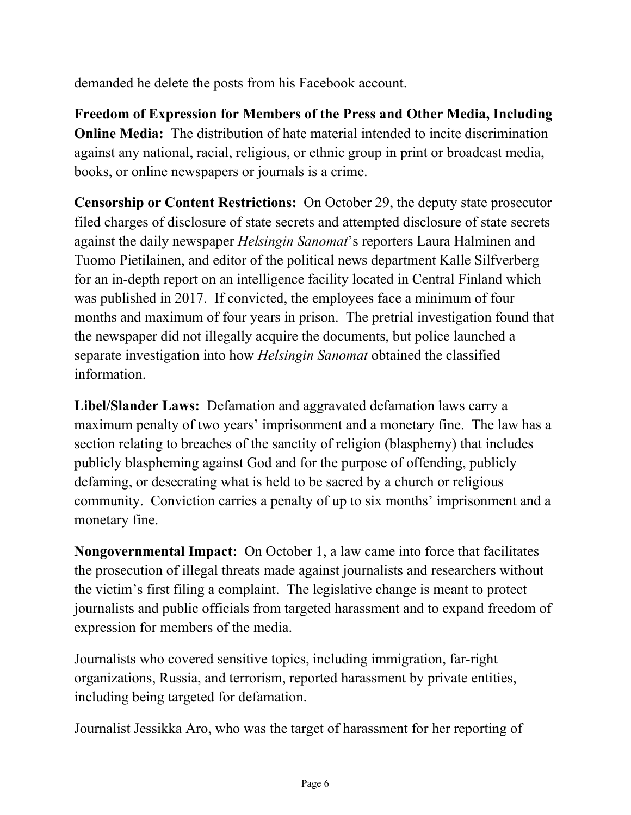demanded he delete the posts from his Facebook account.

**Freedom of Expression for Members of the Press and Other Media, Including Online Media:** The distribution of hate material intended to incite discrimination against any national, racial, religious, or ethnic group in print or broadcast media, books, or online newspapers or journals is a crime.

**Censorship or Content Restrictions:** On October 29, the deputy state prosecutor filed charges of disclosure of state secrets and attempted disclosure of state secrets against the daily newspaper *Helsingin Sanomat*'s reporters Laura Halminen and Tuomo Pietilainen, and editor of the political news department Kalle Silfverberg for an in-depth report on an intelligence facility located in Central Finland which was published in 2017. If convicted, the employees face a minimum of four months and maximum of four years in prison. The pretrial investigation found that the newspaper did not illegally acquire the documents, but police launched a separate investigation into how *Helsingin Sanomat* obtained the classified information.

**Libel/Slander Laws:** Defamation and aggravated defamation laws carry a maximum penalty of two years' imprisonment and a monetary fine. The law has a section relating to breaches of the sanctity of religion (blasphemy) that includes publicly blaspheming against God and for the purpose of offending, publicly defaming, or desecrating what is held to be sacred by a church or religious community. Conviction carries a penalty of up to six months' imprisonment and a monetary fine.

**Nongovernmental Impact:** On October 1, a law came into force that facilitates the prosecution of illegal threats made against journalists and researchers without the victim's first filing a complaint. The legislative change is meant to protect journalists and public officials from targeted harassment and to expand freedom of expression for members of the media.

Journalists who covered sensitive topics, including immigration, far-right organizations, Russia, and terrorism, reported harassment by private entities, including being targeted for defamation.

Journalist Jessikka Aro, who was the target of harassment for her reporting of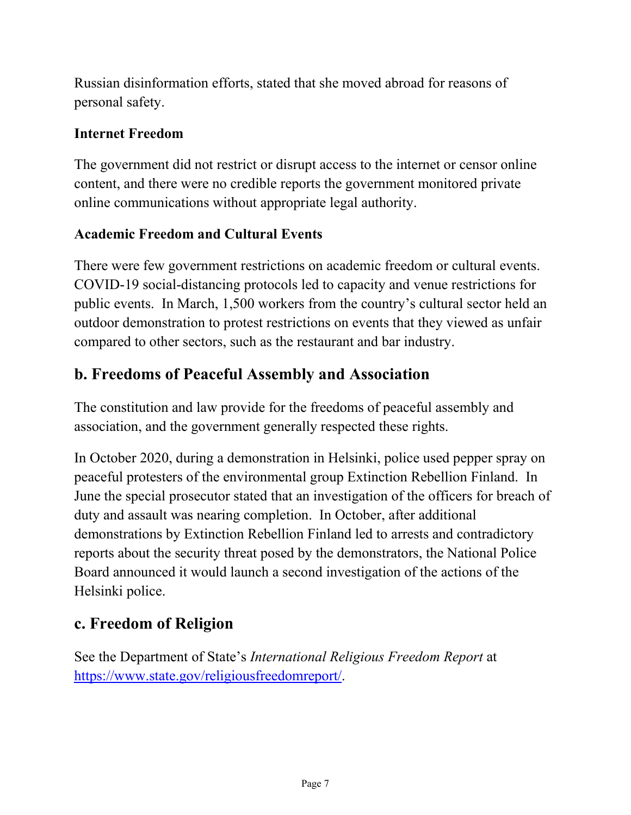Russian disinformation efforts, stated that she moved abroad for reasons of personal safety.

#### **Internet Freedom**

The government did not restrict or disrupt access to the internet or censor online content, and there were no credible reports the government monitored private online communications without appropriate legal authority.

#### **Academic Freedom and Cultural Events**

There were few government restrictions on academic freedom or cultural events. COVID-19 social-distancing protocols led to capacity and venue restrictions for public events. In March, 1,500 workers from the country's cultural sector held an outdoor demonstration to protest restrictions on events that they viewed as unfair compared to other sectors, such as the restaurant and bar industry.

## **b. Freedoms of Peaceful Assembly and Association**

The constitution and law provide for the freedoms of peaceful assembly and association, and the government generally respected these rights.

In October 2020, during a demonstration in Helsinki, police used pepper spray on peaceful protesters of the environmental group Extinction Rebellion Finland. In June the special prosecutor stated that an investigation of the officers for breach of duty and assault was nearing completion. In October, after additional demonstrations by Extinction Rebellion Finland led to arrests and contradictory reports about the security threat posed by the demonstrators, the National Police Board announced it would launch a second investigation of the actions of the Helsinki police.

# **c. Freedom of Religion**

See the Department of State's *International Religious Freedom Report* at [https://www.state.gov/religiousfreedomreport/.](https://www.state.gov/religiousfreedomreport/)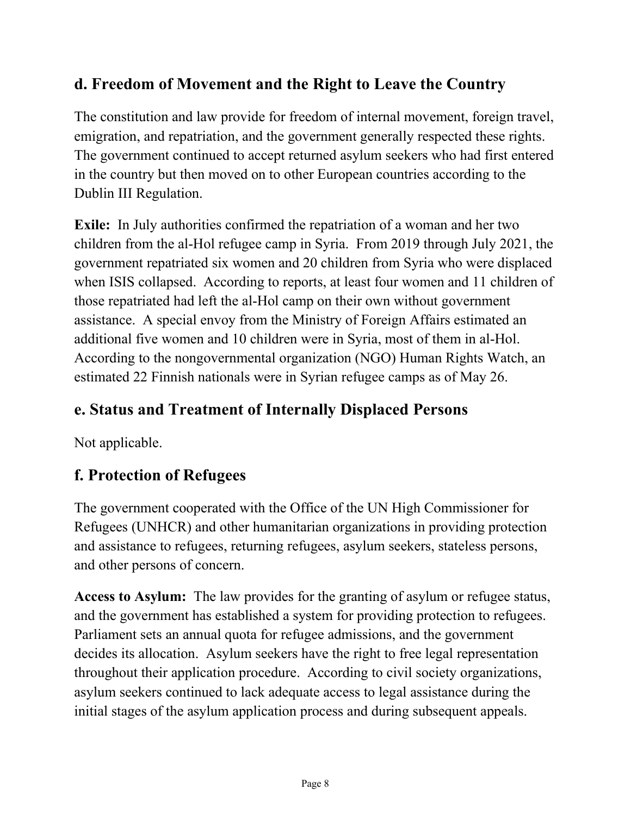# **d. Freedom of Movement and the Right to Leave the Country**

The constitution and law provide for freedom of internal movement, foreign travel, emigration, and repatriation, and the government generally respected these rights. The government continued to accept returned asylum seekers who had first entered in the country but then moved on to other European countries according to the Dublin III Regulation.

**Exile:** In July authorities confirmed the repatriation of a woman and her two children from the al-Hol refugee camp in Syria. From 2019 through July 2021, the government repatriated six women and 20 children from Syria who were displaced when ISIS collapsed. According to reports, at least four women and 11 children of those repatriated had left the al-Hol camp on their own without government assistance. A special envoy from the Ministry of Foreign Affairs estimated an additional five women and 10 children were in Syria, most of them in al-Hol. According to the nongovernmental organization (NGO) Human Rights Watch, an estimated 22 Finnish nationals were in Syrian refugee camps as of May 26.

# **e. Status and Treatment of Internally Displaced Persons**

Not applicable.

# **f. Protection of Refugees**

The government cooperated with the Office of the UN High Commissioner for Refugees (UNHCR) and other humanitarian organizations in providing protection and assistance to refugees, returning refugees, asylum seekers, stateless persons, and other persons of concern.

**Access to Asylum:** The law provides for the granting of asylum or refugee status, and the government has established a system for providing protection to refugees. Parliament sets an annual quota for refugee admissions, and the government decides its allocation. Asylum seekers have the right to free legal representation throughout their application procedure. According to civil society organizations, asylum seekers continued to lack adequate access to legal assistance during the initial stages of the asylum application process and during subsequent appeals.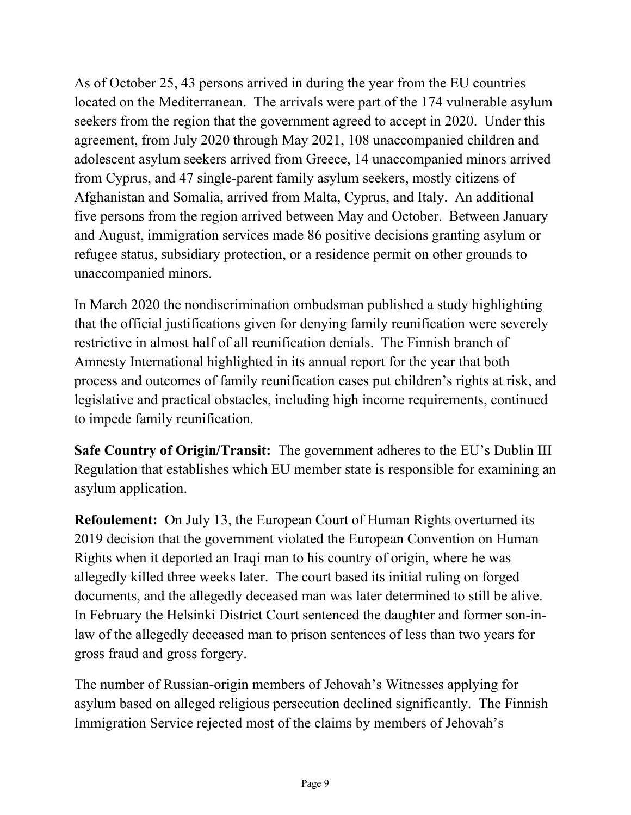As of October 25, 43 persons arrived in during the year from the EU countries located on the Mediterranean. The arrivals were part of the 174 vulnerable asylum seekers from the region that the government agreed to accept in 2020. Under this agreement, from July 2020 through May 2021, 108 unaccompanied children and adolescent asylum seekers arrived from Greece, 14 unaccompanied minors arrived from Cyprus, and 47 single-parent family asylum seekers, mostly citizens of Afghanistan and Somalia, arrived from Malta, Cyprus, and Italy. An additional five persons from the region arrived between May and October. Between January and August, immigration services made 86 positive decisions granting asylum or refugee status, subsidiary protection, or a residence permit on other grounds to unaccompanied minors.

In March 2020 the nondiscrimination ombudsman published a study highlighting that the official justifications given for denying family reunification were severely restrictive in almost half of all reunification denials. The Finnish branch of Amnesty International highlighted in its annual report for the year that both process and outcomes of family reunification cases put children's rights at risk, and legislative and practical obstacles, including high income requirements, continued to impede family reunification.

**Safe Country of Origin/Transit:** The government adheres to the EU's Dublin III Regulation that establishes which EU member state is responsible for examining an asylum application.

**Refoulement:** On July 13, the European Court of Human Rights overturned its 2019 decision that the government violated the European Convention on Human Rights when it deported an Iraqi man to his country of origin, where he was allegedly killed three weeks later. The court based its initial ruling on forged documents, and the allegedly deceased man was later determined to still be alive. In February the Helsinki District Court sentenced the daughter and former son-inlaw of the allegedly deceased man to prison sentences of less than two years for gross fraud and gross forgery.

The number of Russian-origin members of Jehovah's Witnesses applying for asylum based on alleged religious persecution declined significantly. The Finnish Immigration Service rejected most of the claims by members of Jehovah's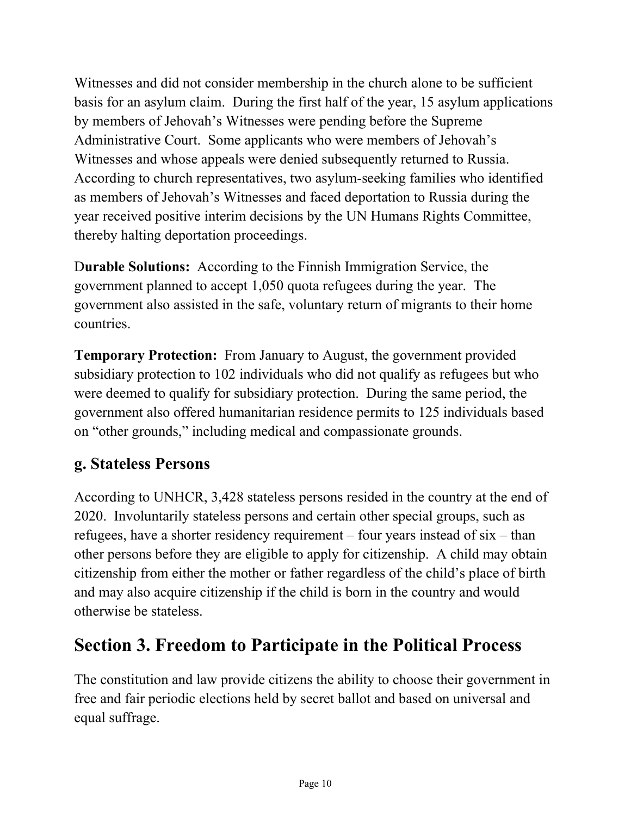Witnesses and did not consider membership in the church alone to be sufficient basis for an asylum claim. During the first half of the year, 15 asylum applications by members of Jehovah's Witnesses were pending before the Supreme Administrative Court. Some applicants who were members of Jehovah's Witnesses and whose appeals were denied subsequently returned to Russia. According to church representatives, two asylum-seeking families who identified as members of Jehovah's Witnesses and faced deportation to Russia during the year received positive interim decisions by the UN Humans Rights Committee, thereby halting deportation proceedings.

D**urable Solutions:** According to the Finnish Immigration Service, the government planned to accept 1,050 quota refugees during the year. The government also assisted in the safe, voluntary return of migrants to their home countries.

**Temporary Protection:** From January to August, the government provided subsidiary protection to 102 individuals who did not qualify as refugees but who were deemed to qualify for subsidiary protection. During the same period, the government also offered humanitarian residence permits to 125 individuals based on "other grounds," including medical and compassionate grounds.

### **g. Stateless Persons**

According to UNHCR, 3,428 stateless persons resided in the country at the end of 2020. Involuntarily stateless persons and certain other special groups, such as refugees, have a shorter residency requirement – four years instead of  $six$  – than other persons before they are eligible to apply for citizenship. A child may obtain citizenship from either the mother or father regardless of the child's place of birth and may also acquire citizenship if the child is born in the country and would otherwise be stateless.

# **Section 3. Freedom to Participate in the Political Process**

The constitution and law provide citizens the ability to choose their government in free and fair periodic elections held by secret ballot and based on universal and equal suffrage.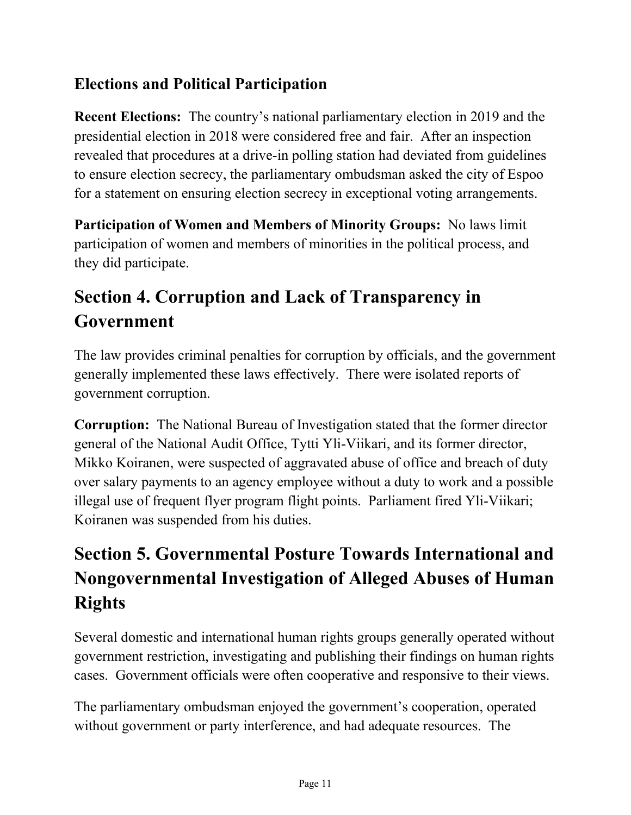# **Elections and Political Participation**

**Recent Elections:** The country's national parliamentary election in 2019 and the presidential election in 2018 were considered free and fair. After an inspection revealed that procedures at a drive-in polling station had deviated from guidelines to ensure election secrecy, the parliamentary ombudsman asked the city of Espoo for a statement on ensuring election secrecy in exceptional voting arrangements.

**Participation of Women and Members of Minority Groups:** No laws limit participation of women and members of minorities in the political process, and they did participate.

# **Section 4. Corruption and Lack of Transparency in Government**

The law provides criminal penalties for corruption by officials, and the government generally implemented these laws effectively. There were isolated reports of government corruption.

**Corruption:** The National Bureau of Investigation stated that the former director general of the National Audit Office, Tytti Yli-Viikari, and its former director, Mikko Koiranen, were suspected of aggravated abuse of office and breach of duty over salary payments to an agency employee without a duty to work and a possible illegal use of frequent flyer program flight points. Parliament fired Yli-Viikari; Koiranen was suspended from his duties.

# **Section 5. Governmental Posture Towards International and Nongovernmental Investigation of Alleged Abuses of Human Rights**

Several domestic and international human rights groups generally operated without government restriction, investigating and publishing their findings on human rights cases. Government officials were often cooperative and responsive to their views.

The parliamentary ombudsman enjoyed the government's cooperation, operated without government or party interference, and had adequate resources. The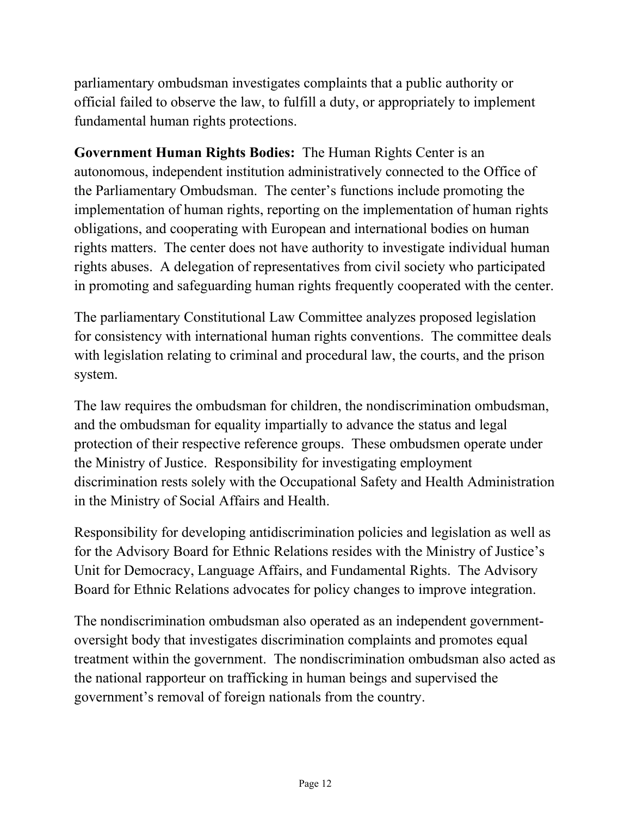parliamentary ombudsman investigates complaints that a public authority or official failed to observe the law, to fulfill a duty, or appropriately to implement fundamental human rights protections.

**Government Human Rights Bodies:** The Human Rights Center is an autonomous, independent institution administratively connected to the Office of the Parliamentary Ombudsman. The center's functions include promoting the implementation of human rights, reporting on the implementation of human rights obligations, and cooperating with European and international bodies on human rights matters. The center does not have authority to investigate individual human rights abuses. A delegation of representatives from civil society who participated in promoting and safeguarding human rights frequently cooperated with the center.

The parliamentary Constitutional Law Committee analyzes proposed legislation for consistency with international human rights conventions. The committee deals with legislation relating to criminal and procedural law, the courts, and the prison system.

The law requires the ombudsman for children, the nondiscrimination ombudsman, and the ombudsman for equality impartially to advance the status and legal protection of their respective reference groups. These ombudsmen operate under the Ministry of Justice. Responsibility for investigating employment discrimination rests solely with the Occupational Safety and Health Administration in the Ministry of Social Affairs and Health.

Responsibility for developing antidiscrimination policies and legislation as well as for the Advisory Board for Ethnic Relations resides with the Ministry of Justice's Unit for Democracy, Language Affairs, and Fundamental Rights. The Advisory Board for Ethnic Relations advocates for policy changes to improve integration.

The nondiscrimination ombudsman also operated as an independent governmentoversight body that investigates discrimination complaints and promotes equal treatment within the government. The nondiscrimination ombudsman also acted as the national rapporteur on trafficking in human beings and supervised the government's removal of foreign nationals from the country.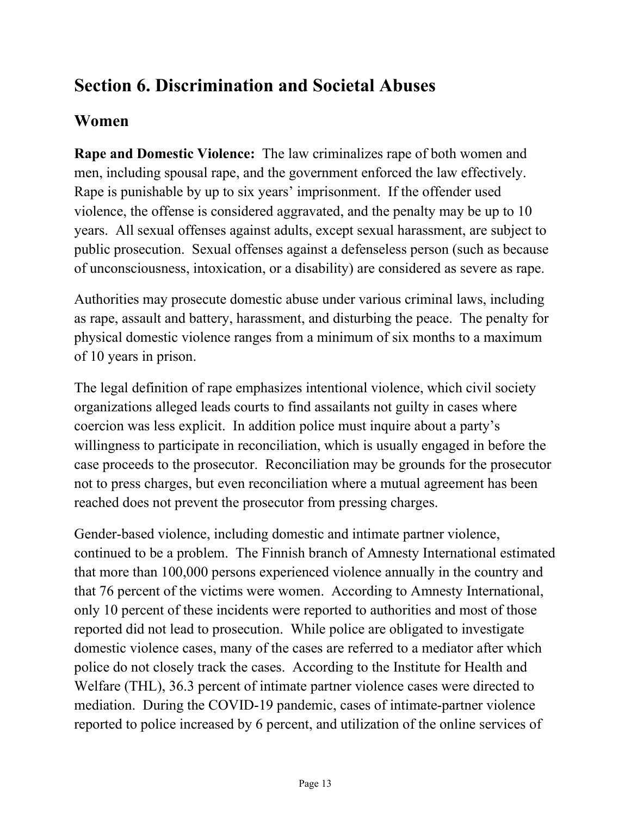# **Section 6. Discrimination and Societal Abuses**

### **Women**

**Rape and Domestic Violence:** The law criminalizes rape of both women and men, including spousal rape, and the government enforced the law effectively. Rape is punishable by up to six years' imprisonment. If the offender used violence, the offense is considered aggravated, and the penalty may be up to 10 years. All sexual offenses against adults, except sexual harassment, are subject to public prosecution. Sexual offenses against a defenseless person (such as because of unconsciousness, intoxication, or a disability) are considered as severe as rape.

Authorities may prosecute domestic abuse under various criminal laws, including as rape, assault and battery, harassment, and disturbing the peace. The penalty for physical domestic violence ranges from a minimum of six months to a maximum of 10 years in prison.

The legal definition of rape emphasizes intentional violence, which civil society organizations alleged leads courts to find assailants not guilty in cases where coercion was less explicit. In addition police must inquire about a party's willingness to participate in reconciliation, which is usually engaged in before the case proceeds to the prosecutor. Reconciliation may be grounds for the prosecutor not to press charges, but even reconciliation where a mutual agreement has been reached does not prevent the prosecutor from pressing charges.

Gender-based violence, including domestic and intimate partner violence, continued to be a problem. The Finnish branch of Amnesty International estimated that more than 100,000 persons experienced violence annually in the country and that 76 percent of the victims were women. According to Amnesty International, only 10 percent of these incidents were reported to authorities and most of those reported did not lead to prosecution. While police are obligated to investigate domestic violence cases, many of the cases are referred to a mediator after which police do not closely track the cases. According to the Institute for Health and Welfare (THL), 36.3 percent of intimate partner violence cases were directed to mediation. During the COVID-19 pandemic, cases of intimate-partner violence reported to police increased by 6 percent, and utilization of the online services of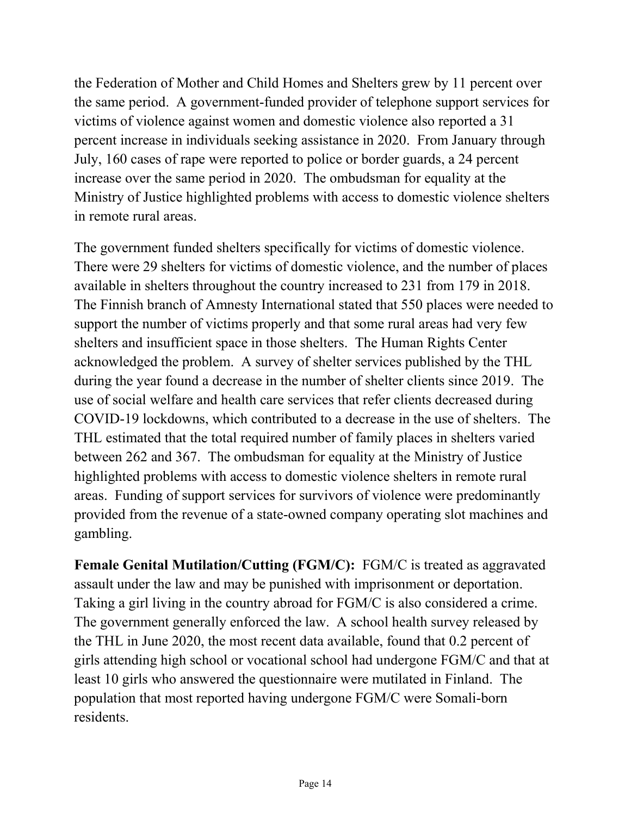the Federation of Mother and Child Homes and Shelters grew by 11 percent over the same period. A government-funded provider of telephone support services for victims of violence against women and domestic violence also reported a 31 percent increase in individuals seeking assistance in 2020. From January through July, 160 cases of rape were reported to police or border guards, a 24 percent increase over the same period in 2020. The ombudsman for equality at the Ministry of Justice highlighted problems with access to domestic violence shelters in remote rural areas.

The government funded shelters specifically for victims of domestic violence. There were 29 shelters for victims of domestic violence, and the number of places available in shelters throughout the country increased to 231 from 179 in 2018. The Finnish branch of Amnesty International stated that 550 places were needed to support the number of victims properly and that some rural areas had very few shelters and insufficient space in those shelters. The Human Rights Center acknowledged the problem. A survey of shelter services published by the THL during the year found a decrease in the number of shelter clients since 2019. The use of social welfare and health care services that refer clients decreased during COVID-19 lockdowns, which contributed to a decrease in the use of shelters. The THL estimated that the total required number of family places in shelters varied between 262 and 367. The ombudsman for equality at the Ministry of Justice highlighted problems with access to domestic violence shelters in remote rural areas. Funding of support services for survivors of violence were predominantly provided from the revenue of a state-owned company operating slot machines and gambling.

**Female Genital Mutilation/Cutting (FGM/C):** FGM/C is treated as aggravated assault under the law and may be punished with imprisonment or deportation. Taking a girl living in the country abroad for FGM/C is also considered a crime. The government generally enforced the law. A school health survey released by the THL in June 2020, the most recent data available, found that 0.2 percent of girls attending high school or vocational school had undergone FGM/C and that at least 10 girls who answered the questionnaire were mutilated in Finland. The population that most reported having undergone FGM/C were Somali-born residents.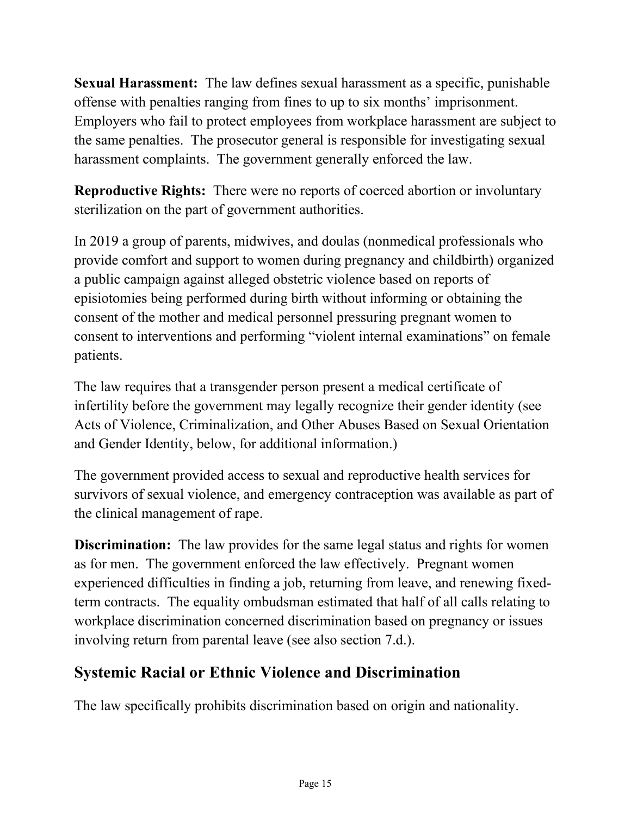**Sexual Harassment:** The law defines sexual harassment as a specific, punishable offense with penalties ranging from fines to up to six months' imprisonment. Employers who fail to protect employees from workplace harassment are subject to the same penalties. The prosecutor general is responsible for investigating sexual harassment complaints. The government generally enforced the law.

**Reproductive Rights:** There were no reports of coerced abortion or involuntary sterilization on the part of government authorities.

In 2019 a group of parents, midwives, and doulas (nonmedical professionals who provide comfort and support to women during pregnancy and childbirth) organized a public campaign against alleged obstetric violence based on reports of episiotomies being performed during birth without informing or obtaining the consent of the mother and medical personnel pressuring pregnant women to consent to interventions and performing "violent internal examinations" on female patients.

The law requires that a transgender person present a medical certificate of infertility before the government may legally recognize their gender identity (see Acts of Violence, Criminalization, and Other Abuses Based on Sexual Orientation and Gender Identity, below, for additional information.)

The government provided access to sexual and reproductive health services for survivors of sexual violence, and emergency contraception was available as part of the clinical management of rape.

**Discrimination:** The law provides for the same legal status and rights for women as for men. The government enforced the law effectively. Pregnant women experienced difficulties in finding a job, returning from leave, and renewing fixedterm contracts. The equality ombudsman estimated that half of all calls relating to workplace discrimination concerned discrimination based on pregnancy or issues involving return from parental leave (see also section 7.d.).

# **Systemic Racial or Ethnic Violence and Discrimination**

The law specifically prohibits discrimination based on origin and nationality.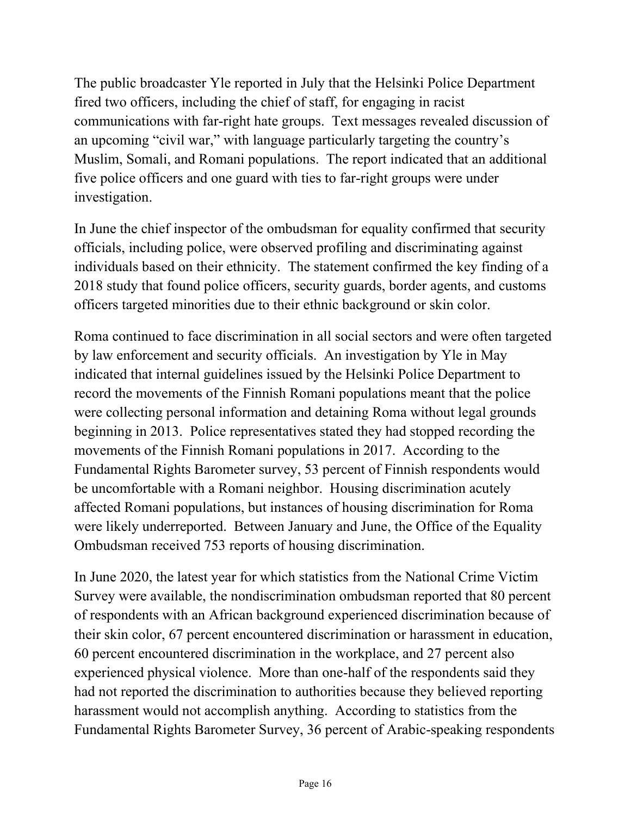The public broadcaster Yle reported in July that the Helsinki Police Department fired two officers, including the chief of staff, for engaging in racist communications with far-right hate groups. Text messages revealed discussion of an upcoming "civil war," with language particularly targeting the country's Muslim, Somali, and Romani populations. The report indicated that an additional five police officers and one guard with ties to far-right groups were under investigation.

In June the chief inspector of the ombudsman for equality confirmed that security officials, including police, were observed profiling and discriminating against individuals based on their ethnicity. The statement confirmed the key finding of a 2018 study that found police officers, security guards, border agents, and customs officers targeted minorities due to their ethnic background or skin color.

Roma continued to face discrimination in all social sectors and were often targeted by law enforcement and security officials. An investigation by Yle in May indicated that internal guidelines issued by the Helsinki Police Department to record the movements of the Finnish Romani populations meant that the police were collecting personal information and detaining Roma without legal grounds beginning in 2013. Police representatives stated they had stopped recording the movements of the Finnish Romani populations in 2017. According to the Fundamental Rights Barometer survey, 53 percent of Finnish respondents would be uncomfortable with a Romani neighbor. Housing discrimination acutely affected Romani populations, but instances of housing discrimination for Roma were likely underreported. Between January and June, the Office of the Equality Ombudsman received 753 reports of housing discrimination.

In June 2020, the latest year for which statistics from the National Crime Victim Survey were available, the nondiscrimination ombudsman reported that 80 percent of respondents with an African background experienced discrimination because of their skin color, 67 percent encountered discrimination or harassment in education, 60 percent encountered discrimination in the workplace, and 27 percent also experienced physical violence. More than one-half of the respondents said they had not reported the discrimination to authorities because they believed reporting harassment would not accomplish anything. According to statistics from the Fundamental Rights Barometer Survey, 36 percent of Arabic-speaking respondents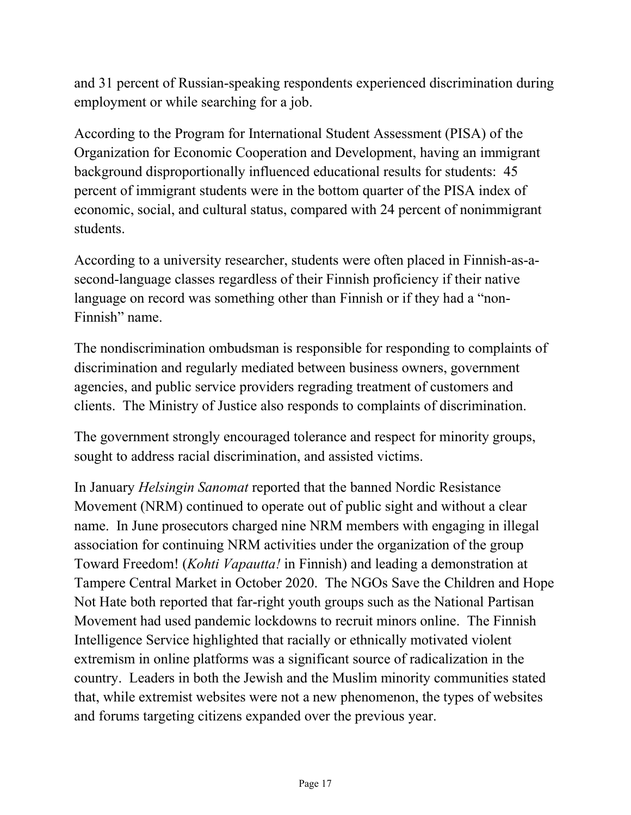and 31 percent of Russian-speaking respondents experienced discrimination during employment or while searching for a job.

According to the Program for International Student Assessment (PISA) of the Organization for Economic Cooperation and Development, having an immigrant background disproportionally influenced educational results for students: 45 percent of immigrant students were in the bottom quarter of the PISA index of economic, social, and cultural status, compared with 24 percent of nonimmigrant students.

According to a university researcher, students were often placed in Finnish-as-asecond-language classes regardless of their Finnish proficiency if their native language on record was something other than Finnish or if they had a "non-Finnish" name.

The nondiscrimination ombudsman is responsible for responding to complaints of discrimination and regularly mediated between business owners, government agencies, and public service providers regrading treatment of customers and clients. The Ministry of Justice also responds to complaints of discrimination.

The government strongly encouraged tolerance and respect for minority groups, sought to address racial discrimination, and assisted victims.

In January *Helsingin Sanomat* reported that the banned Nordic Resistance Movement (NRM) continued to operate out of public sight and without a clear name. In June prosecutors charged nine NRM members with engaging in illegal association for continuing NRM activities under the organization of the group Toward Freedom! (*Kohti Vapautta!* in Finnish) and leading a demonstration at Tampere Central Market in October 2020. The NGOs Save the Children and Hope Not Hate both reported that far-right youth groups such as the National Partisan Movement had used pandemic lockdowns to recruit minors online. The Finnish Intelligence Service highlighted that racially or ethnically motivated violent extremism in online platforms was a significant source of radicalization in the country. Leaders in both the Jewish and the Muslim minority communities stated that, while extremist websites were not a new phenomenon, the types of websites and forums targeting citizens expanded over the previous year.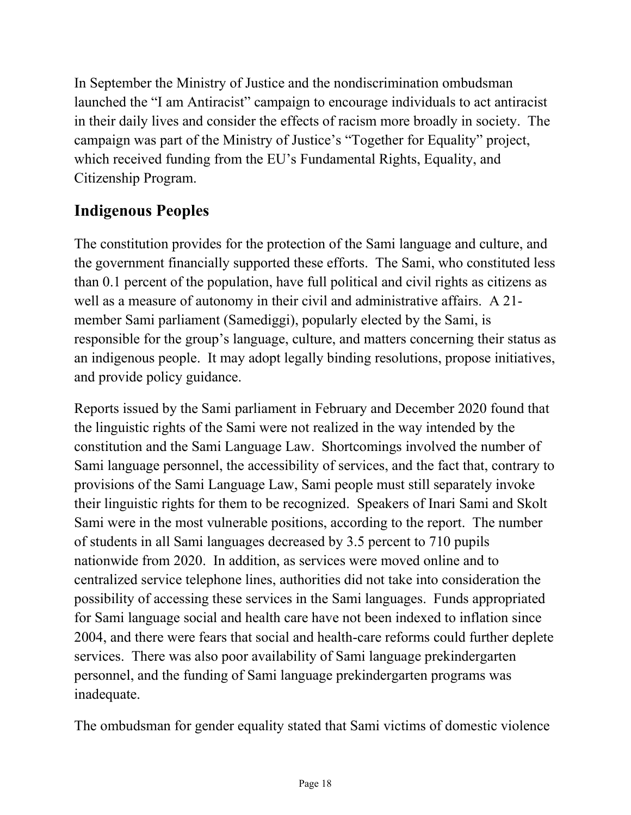In September the Ministry of Justice and the nondiscrimination ombudsman launched the "I am Antiracist" campaign to encourage individuals to act antiracist in their daily lives and consider the effects of racism more broadly in society. The campaign was part of the Ministry of Justice's "Together for Equality" project, which received funding from the EU's Fundamental Rights, Equality, and Citizenship Program.

# **Indigenous Peoples**

The constitution provides for the protection of the Sami language and culture, and the government financially supported these efforts. The Sami, who constituted less than 0.1 percent of the population, have full political and civil rights as citizens as well as a measure of autonomy in their civil and administrative affairs. A 21 member Sami parliament (Samediggi), popularly elected by the Sami, is responsible for the group's language, culture, and matters concerning their status as an indigenous people. It may adopt legally binding resolutions, propose initiatives, and provide policy guidance.

Reports issued by the Sami parliament in February and December 2020 found that the linguistic rights of the Sami were not realized in the way intended by the constitution and the Sami Language Law. Shortcomings involved the number of Sami language personnel, the accessibility of services, and the fact that, contrary to provisions of the Sami Language Law, Sami people must still separately invoke their linguistic rights for them to be recognized. Speakers of Inari Sami and Skolt Sami were in the most vulnerable positions, according to the report. The number of students in all Sami languages decreased by 3.5 percent to 710 pupils nationwide from 2020. In addition, as services were moved online and to centralized service telephone lines, authorities did not take into consideration the possibility of accessing these services in the Sami languages. Funds appropriated for Sami language social and health care have not been indexed to inflation since 2004, and there were fears that social and health-care reforms could further deplete services. There was also poor availability of Sami language prekindergarten personnel, and the funding of Sami language prekindergarten programs was inadequate.

The ombudsman for gender equality stated that Sami victims of domestic violence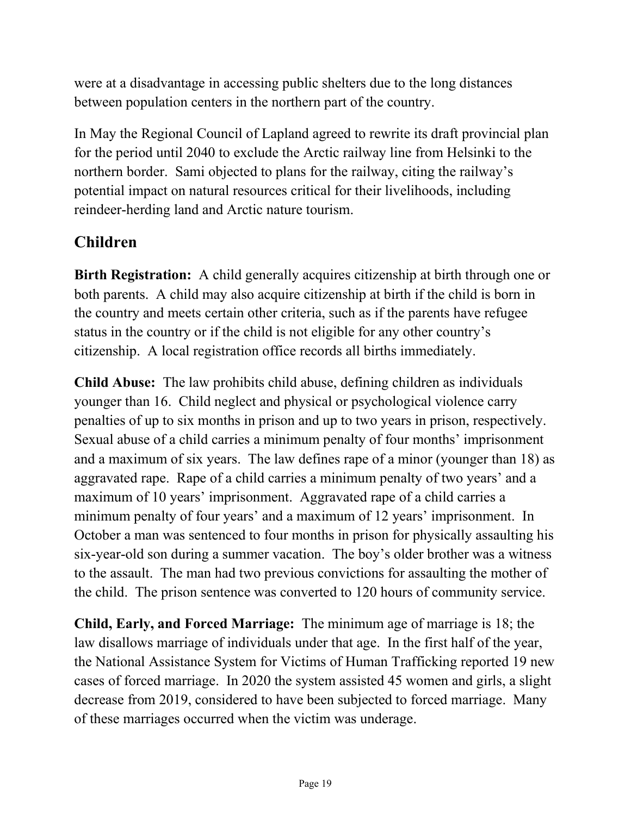were at a disadvantage in accessing public shelters due to the long distances between population centers in the northern part of the country.

In May the Regional Council of Lapland agreed to rewrite its draft provincial plan for the period until 2040 to exclude the Arctic railway line from Helsinki to the northern border. Sami objected to plans for the railway, citing the railway's potential impact on natural resources critical for their livelihoods, including reindeer-herding land and Arctic nature tourism.

# **Children**

**Birth Registration:** A child generally acquires citizenship at birth through one or both parents. A child may also acquire citizenship at birth if the child is born in the country and meets certain other criteria, such as if the parents have refugee status in the country or if the child is not eligible for any other country's citizenship. A local registration office records all births immediately.

**Child Abuse:** The law prohibits child abuse, defining children as individuals younger than 16. Child neglect and physical or psychological violence carry penalties of up to six months in prison and up to two years in prison, respectively. Sexual abuse of a child carries a minimum penalty of four months' imprisonment and a maximum of six years. The law defines rape of a minor (younger than 18) as aggravated rape. Rape of a child carries a minimum penalty of two years' and a maximum of 10 years' imprisonment. Aggravated rape of a child carries a minimum penalty of four years' and a maximum of 12 years' imprisonment. In October a man was sentenced to four months in prison for physically assaulting his six-year-old son during a summer vacation. The boy's older brother was a witness to the assault. The man had two previous convictions for assaulting the mother of the child. The prison sentence was converted to 120 hours of community service.

**Child, Early, and Forced Marriage:** The minimum age of marriage is 18; the law disallows marriage of individuals under that age. In the first half of the year, the National Assistance System for Victims of Human Trafficking reported 19 new cases of forced marriage. In 2020 the system assisted 45 women and girls, a slight decrease from 2019, considered to have been subjected to forced marriage. Many of these marriages occurred when the victim was underage.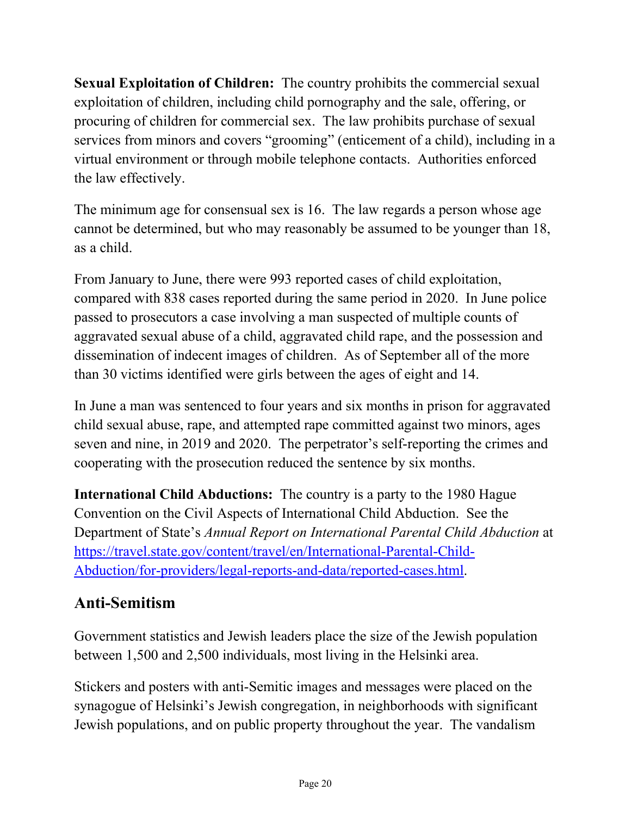**Sexual Exploitation of Children:** The country prohibits the commercial sexual exploitation of children, including child pornography and the sale, offering, or procuring of children for commercial sex. The law prohibits purchase of sexual services from minors and covers "grooming" (enticement of a child), including in a virtual environment or through mobile telephone contacts. Authorities enforced the law effectively.

The minimum age for consensual sex is 16. The law regards a person whose age cannot be determined, but who may reasonably be assumed to be younger than 18, as a child.

From January to June, there were 993 reported cases of child exploitation, compared with 838 cases reported during the same period in 2020. In June police passed to prosecutors a case involving a man suspected of multiple counts of aggravated sexual abuse of a child, aggravated child rape, and the possession and dissemination of indecent images of children. As of September all of the more than 30 victims identified were girls between the ages of eight and 14.

In June a man was sentenced to four years and six months in prison for aggravated child sexual abuse, rape, and attempted rape committed against two minors, ages seven and nine, in 2019 and 2020. The perpetrator's self-reporting the crimes and cooperating with the prosecution reduced the sentence by six months.

**International Child Abductions:** The country is a party to the 1980 Hague Convention on the Civil Aspects of International Child Abduction. See the Department of State's *Annual Report on International Parental Child Abduction* at [https://travel.state.gov/content/travel/en/International-Parental-Child-](https://travel.state.gov/content/travel/en/International-Parental-Child-Abduction/for-providers/legal-reports-and-data/reported-cases.html)[Abduction/for-providers/legal-reports-and-data/reported-cases.html.](https://travel.state.gov/content/travel/en/International-Parental-Child-Abduction/for-providers/legal-reports-and-data/reported-cases.html)

# **Anti-Semitism**

Government statistics and Jewish leaders place the size of the Jewish population between 1,500 and 2,500 individuals, most living in the Helsinki area.

Stickers and posters with anti-Semitic images and messages were placed on the synagogue of Helsinki's Jewish congregation, in neighborhoods with significant Jewish populations, and on public property throughout the year. The vandalism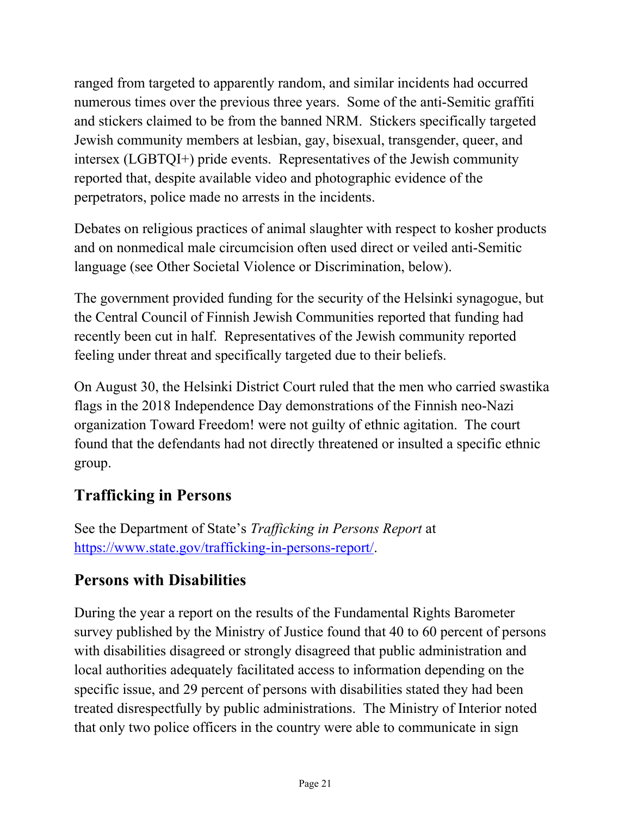ranged from targeted to apparently random, and similar incidents had occurred numerous times over the previous three years. Some of the anti-Semitic graffiti and stickers claimed to be from the banned NRM. Stickers specifically targeted Jewish community members at lesbian, gay, bisexual, transgender, queer, and intersex (LGBTQI+) pride events. Representatives of the Jewish community reported that, despite available video and photographic evidence of the perpetrators, police made no arrests in the incidents.

Debates on religious practices of animal slaughter with respect to kosher products and on nonmedical male circumcision often used direct or veiled anti-Semitic language (see Other Societal Violence or Discrimination, below).

The government provided funding for the security of the Helsinki synagogue, but the Central Council of Finnish Jewish Communities reported that funding had recently been cut in half. Representatives of the Jewish community reported feeling under threat and specifically targeted due to their beliefs.

On August 30, the Helsinki District Court ruled that the men who carried swastika flags in the 2018 Independence Day demonstrations of the Finnish neo-Nazi organization Toward Freedom! were not guilty of ethnic agitation. The court found that the defendants had not directly threatened or insulted a specific ethnic group.

### **Trafficking in Persons**

See the Department of State's *Trafficking in Persons Report* at [https://www.state.gov/trafficking-in-persons-report/.](https://www.state.gov/trafficking-in-persons-report/)

# **Persons with Disabilities**

During the year a report on the results of the Fundamental Rights Barometer survey published by the Ministry of Justice found that 40 to 60 percent of persons with disabilities disagreed or strongly disagreed that public administration and local authorities adequately facilitated access to information depending on the specific issue, and 29 percent of persons with disabilities stated they had been treated disrespectfully by public administrations. The Ministry of Interior noted that only two police officers in the country were able to communicate in sign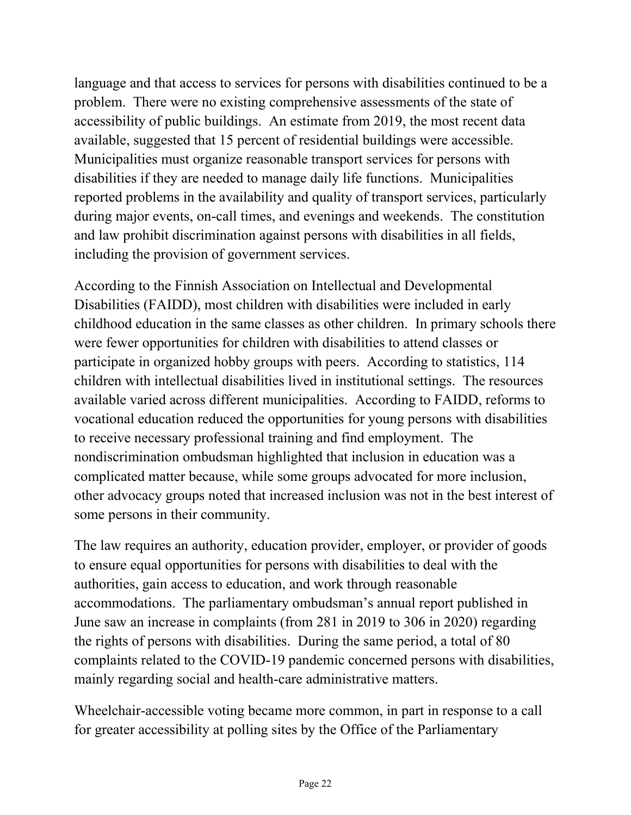language and that access to services for persons with disabilities continued to be a problem. There were no existing comprehensive assessments of the state of accessibility of public buildings. An estimate from 2019, the most recent data available, suggested that 15 percent of residential buildings were accessible. Municipalities must organize reasonable transport services for persons with disabilities if they are needed to manage daily life functions. Municipalities reported problems in the availability and quality of transport services, particularly during major events, on-call times, and evenings and weekends. The constitution and law prohibit discrimination against persons with disabilities in all fields, including the provision of government services.

According to the Finnish Association on Intellectual and Developmental Disabilities (FAIDD), most children with disabilities were included in early childhood education in the same classes as other children. In primary schools there were fewer opportunities for children with disabilities to attend classes or participate in organized hobby groups with peers. According to statistics, 114 children with intellectual disabilities lived in institutional settings. The resources available varied across different municipalities. According to FAIDD, reforms to vocational education reduced the opportunities for young persons with disabilities to receive necessary professional training and find employment. The nondiscrimination ombudsman highlighted that inclusion in education was a complicated matter because, while some groups advocated for more inclusion, other advocacy groups noted that increased inclusion was not in the best interest of some persons in their community.

The law requires an authority, education provider, employer, or provider of goods to ensure equal opportunities for persons with disabilities to deal with the authorities, gain access to education, and work through reasonable accommodations. The parliamentary ombudsman's annual report published in June saw an increase in complaints (from 281 in 2019 to 306 in 2020) regarding the rights of persons with disabilities. During the same period, a total of 80 complaints related to the COVID-19 pandemic concerned persons with disabilities, mainly regarding social and health-care administrative matters.

Wheelchair-accessible voting became more common, in part in response to a call for greater accessibility at polling sites by the Office of the Parliamentary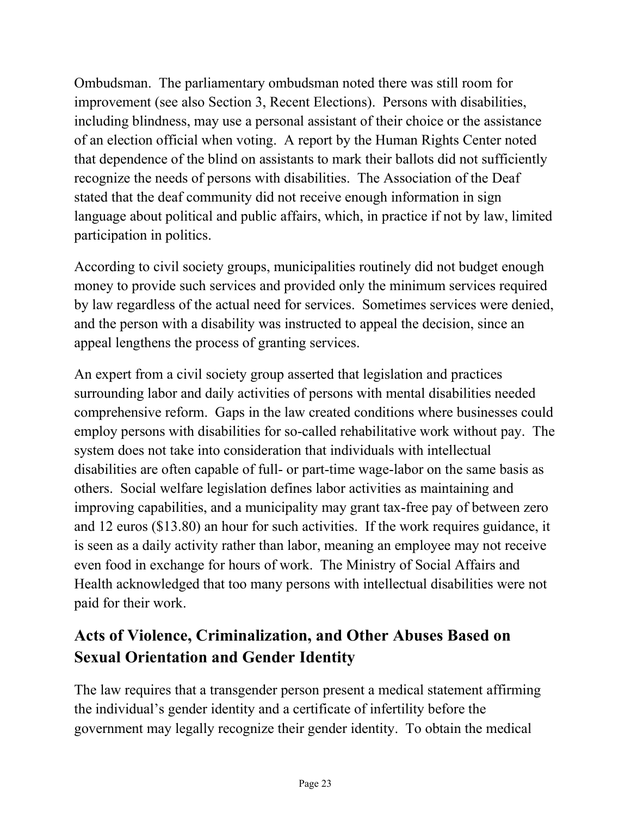Ombudsman. The parliamentary ombudsman noted there was still room for improvement (see also Section 3, Recent Elections). Persons with disabilities, including blindness, may use a personal assistant of their choice or the assistance of an election official when voting. A report by the Human Rights Center noted that dependence of the blind on assistants to mark their ballots did not sufficiently recognize the needs of persons with disabilities. The Association of the Deaf stated that the deaf community did not receive enough information in sign language about political and public affairs, which, in practice if not by law, limited participation in politics.

According to civil society groups, municipalities routinely did not budget enough money to provide such services and provided only the minimum services required by law regardless of the actual need for services. Sometimes services were denied, and the person with a disability was instructed to appeal the decision, since an appeal lengthens the process of granting services.

An expert from a civil society group asserted that legislation and practices surrounding labor and daily activities of persons with mental disabilities needed comprehensive reform. Gaps in the law created conditions where businesses could employ persons with disabilities for so-called rehabilitative work without pay. The system does not take into consideration that individuals with intellectual disabilities are often capable of full- or part-time wage-labor on the same basis as others. Social welfare legislation defines labor activities as maintaining and improving capabilities, and a municipality may grant tax-free pay of between zero and 12 euros (\$13.80) an hour for such activities. If the work requires guidance, it is seen as a daily activity rather than labor, meaning an employee may not receive even food in exchange for hours of work. The Ministry of Social Affairs and Health acknowledged that too many persons with intellectual disabilities were not paid for their work.

# **Acts of Violence, Criminalization, and Other Abuses Based on Sexual Orientation and Gender Identity**

The law requires that a transgender person present a medical statement affirming the individual's gender identity and a certificate of infertility before the government may legally recognize their gender identity. To obtain the medical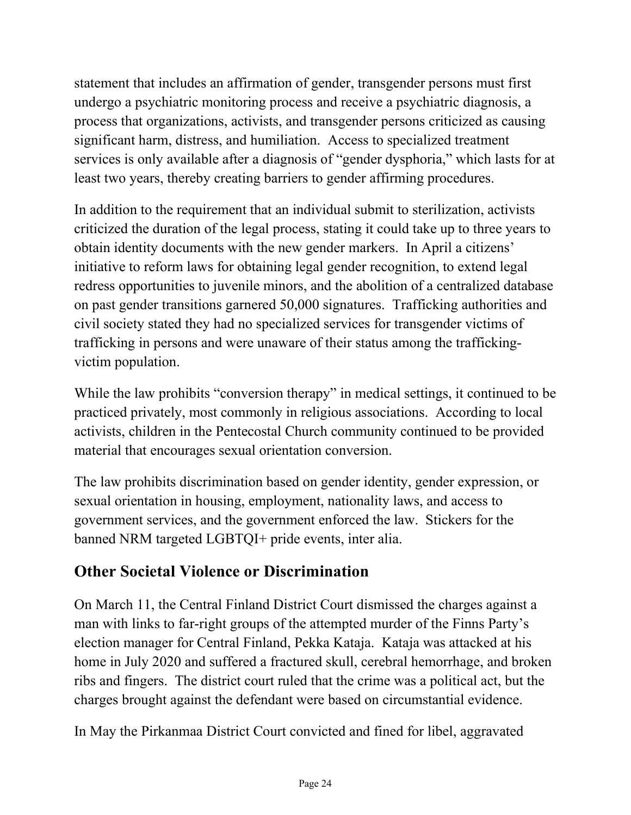statement that includes an affirmation of gender, transgender persons must first undergo a psychiatric monitoring process and receive a psychiatric diagnosis, a process that organizations, activists, and transgender persons criticized as causing significant harm, distress, and humiliation. Access to specialized treatment services is only available after a diagnosis of "gender dysphoria," which lasts for at least two years, thereby creating barriers to gender affirming procedures.

In addition to the requirement that an individual submit to sterilization, activists criticized the duration of the legal process, stating it could take up to three years to obtain identity documents with the new gender markers. In April a citizens' initiative to reform laws for obtaining legal gender recognition, to extend legal redress opportunities to juvenile minors, and the abolition of a centralized database on past gender transitions garnered 50,000 signatures. Trafficking authorities and civil society stated they had no specialized services for transgender victims of trafficking in persons and were unaware of their status among the traffickingvictim population.

While the law prohibits "conversion therapy" in medical settings, it continued to be practiced privately, most commonly in religious associations. According to local activists, children in the Pentecostal Church community continued to be provided material that encourages sexual orientation conversion.

The law prohibits discrimination based on gender identity, gender expression, or sexual orientation in housing, employment, nationality laws, and access to government services, and the government enforced the law. Stickers for the banned NRM targeted LGBTQI+ pride events, inter alia.

# **Other Societal Violence or Discrimination**

On March 11, the Central Finland District Court dismissed the charges against a man with links to far-right groups of the attempted murder of the Finns Party's election manager for Central Finland, Pekka Kataja. Kataja was attacked at his home in July 2020 and suffered a fractured skull, cerebral hemorrhage, and broken ribs and fingers. The district court ruled that the crime was a political act, but the charges brought against the defendant were based on circumstantial evidence.

In May the Pirkanmaa District Court convicted and fined for libel, aggravated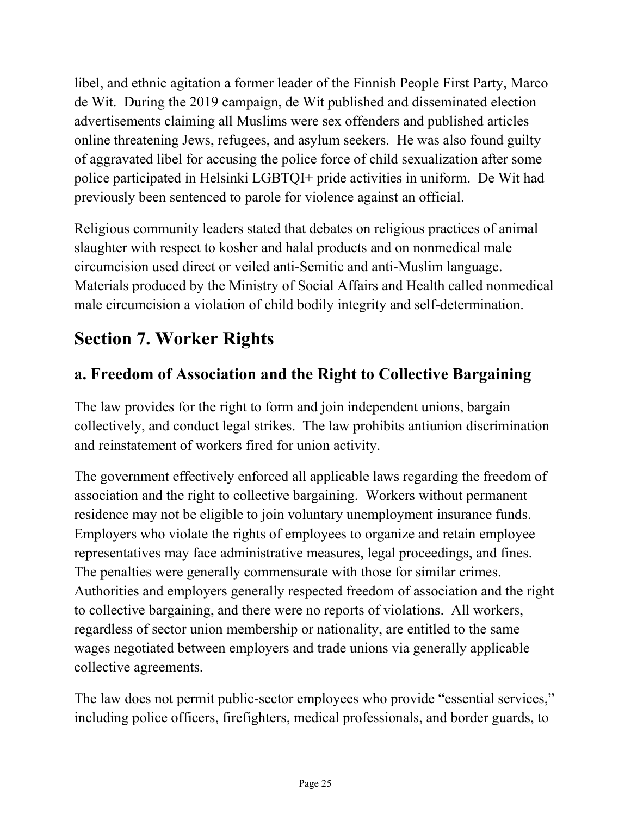libel, and ethnic agitation a former leader of the Finnish People First Party, Marco de Wit. During the 2019 campaign, de Wit published and disseminated election advertisements claiming all Muslims were sex offenders and published articles online threatening Jews, refugees, and asylum seekers. He was also found guilty of aggravated libel for accusing the police force of child sexualization after some police participated in Helsinki LGBTQI+ pride activities in uniform. De Wit had previously been sentenced to parole for violence against an official.

Religious community leaders stated that debates on religious practices of animal slaughter with respect to kosher and halal products and on nonmedical male circumcision used direct or veiled anti-Semitic and anti-Muslim language. Materials produced by the Ministry of Social Affairs and Health called nonmedical male circumcision a violation of child bodily integrity and self-determination.

# **Section 7. Worker Rights**

# **a. Freedom of Association and the Right to Collective Bargaining**

The law provides for the right to form and join independent unions, bargain collectively, and conduct legal strikes. The law prohibits antiunion discrimination and reinstatement of workers fired for union activity.

The government effectively enforced all applicable laws regarding the freedom of association and the right to collective bargaining. Workers without permanent residence may not be eligible to join voluntary unemployment insurance funds. Employers who violate the rights of employees to organize and retain employee representatives may face administrative measures, legal proceedings, and fines. The penalties were generally commensurate with those for similar crimes. Authorities and employers generally respected freedom of association and the right to collective bargaining, and there were no reports of violations. All workers, regardless of sector union membership or nationality, are entitled to the same wages negotiated between employers and trade unions via generally applicable collective agreements.

The law does not permit public-sector employees who provide "essential services," including police officers, firefighters, medical professionals, and border guards, to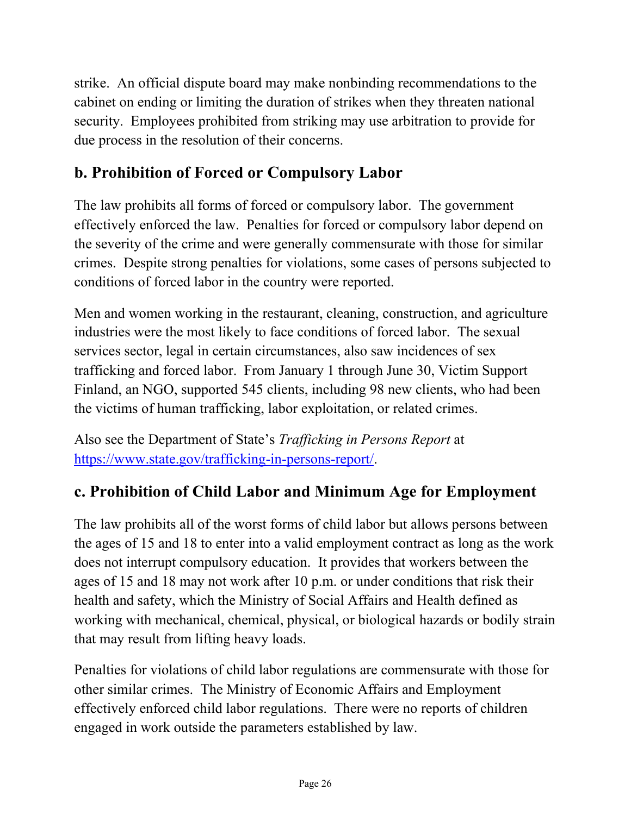strike. An official dispute board may make nonbinding recommendations to the cabinet on ending or limiting the duration of strikes when they threaten national security. Employees prohibited from striking may use arbitration to provide for due process in the resolution of their concerns.

# **b. Prohibition of Forced or Compulsory Labor**

The law prohibits all forms of forced or compulsory labor. The government effectively enforced the law. Penalties for forced or compulsory labor depend on the severity of the crime and were generally commensurate with those for similar crimes. Despite strong penalties for violations, some cases of persons subjected to conditions of forced labor in the country were reported.

Men and women working in the restaurant, cleaning, construction, and agriculture industries were the most likely to face conditions of forced labor. The sexual services sector, legal in certain circumstances, also saw incidences of sex trafficking and forced labor. From January 1 through June 30, Victim Support Finland, an NGO, supported 545 clients, including 98 new clients, who had been the victims of human trafficking, labor exploitation, or related crimes.

Also see the Department of State's *Trafficking in Persons Report* at [https://www.state.gov/trafficking-in-persons-report/.](https://www.state.gov/trafficking-in-persons-report/)

### **c. Prohibition of Child Labor and Minimum Age for Employment**

The law prohibits all of the worst forms of child labor but allows persons between the ages of 15 and 18 to enter into a valid employment contract as long as the work does not interrupt compulsory education. It provides that workers between the ages of 15 and 18 may not work after 10 p.m. or under conditions that risk their health and safety, which the Ministry of Social Affairs and Health defined as working with mechanical, chemical, physical, or biological hazards or bodily strain that may result from lifting heavy loads.

Penalties for violations of child labor regulations are commensurate with those for other similar crimes. The Ministry of Economic Affairs and Employment effectively enforced child labor regulations. There were no reports of children engaged in work outside the parameters established by law.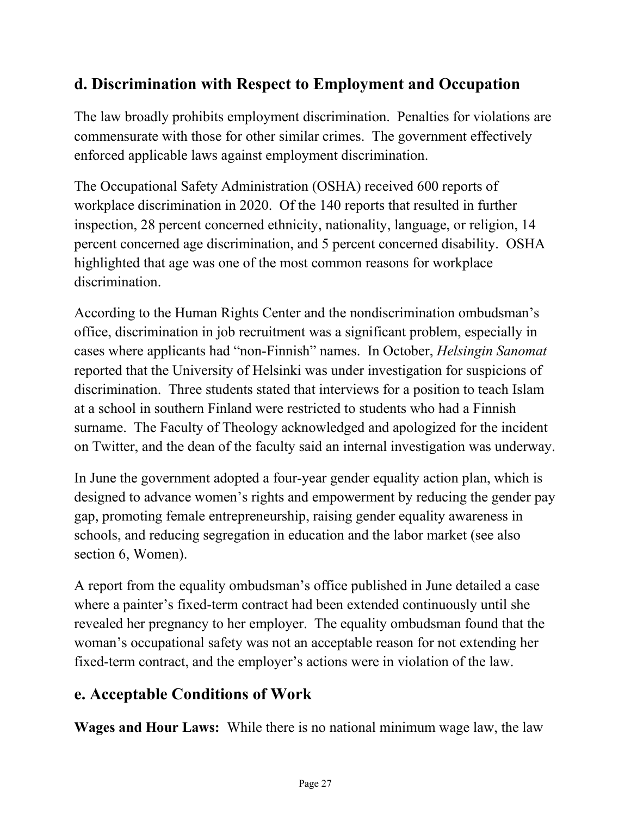## **d. Discrimination with Respect to Employment and Occupation**

The law broadly prohibits employment discrimination. Penalties for violations are commensurate with those for other similar crimes. The government effectively enforced applicable laws against employment discrimination.

The Occupational Safety Administration (OSHA) received 600 reports of workplace discrimination in 2020. Of the 140 reports that resulted in further inspection, 28 percent concerned ethnicity, nationality, language, or religion, 14 percent concerned age discrimination, and 5 percent concerned disability. OSHA highlighted that age was one of the most common reasons for workplace discrimination.

According to the Human Rights Center and the nondiscrimination ombudsman's office, discrimination in job recruitment was a significant problem, especially in cases where applicants had "non-Finnish" names. In October, *Helsingin Sanomat* reported that the University of Helsinki was under investigation for suspicions of discrimination. Three students stated that interviews for a position to teach Islam at a school in southern Finland were restricted to students who had a Finnish surname. The Faculty of Theology acknowledged and apologized for the incident on Twitter, and the dean of the faculty said an internal investigation was underway.

In June the government adopted a four-year gender equality action plan, which is designed to advance women's rights and empowerment by reducing the gender pay gap, promoting female entrepreneurship, raising gender equality awareness in schools, and reducing segregation in education and the labor market (see also section 6, Women).

A report from the equality ombudsman's office published in June detailed a case where a painter's fixed-term contract had been extended continuously until she revealed her pregnancy to her employer. The equality ombudsman found that the woman's occupational safety was not an acceptable reason for not extending her fixed-term contract, and the employer's actions were in violation of the law.

# **e. Acceptable Conditions of Work**

**Wages and Hour Laws:** While there is no national minimum wage law, the law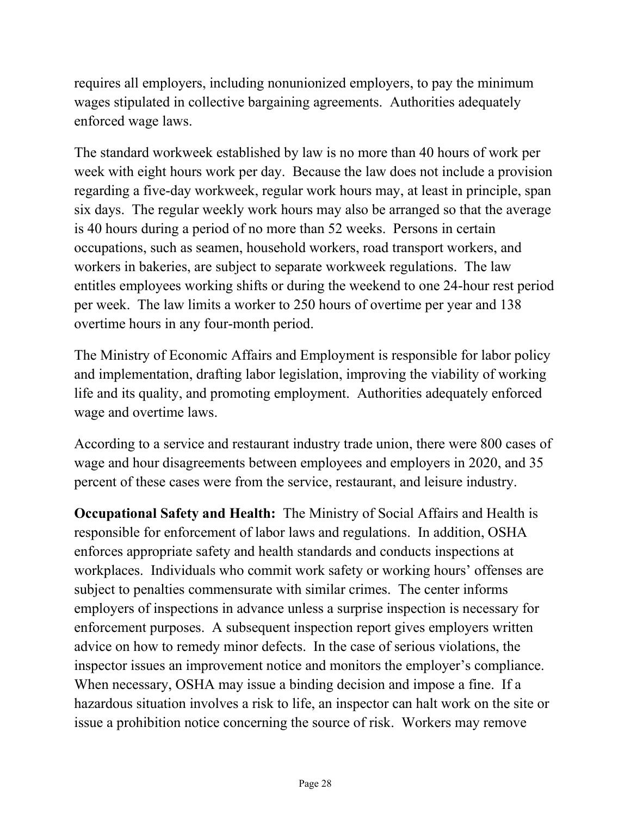requires all employers, including nonunionized employers, to pay the minimum wages stipulated in collective bargaining agreements. Authorities adequately enforced wage laws.

The standard workweek established by law is no more than 40 hours of work per week with eight hours work per day. Because the law does not include a provision regarding a five-day workweek, regular work hours may, at least in principle, span six days. The regular weekly work hours may also be arranged so that the average is 40 hours during a period of no more than 52 weeks. Persons in certain occupations, such as seamen, household workers, road transport workers, and workers in bakeries, are subject to separate workweek regulations. The law entitles employees working shifts or during the weekend to one 24-hour rest period per week. The law limits a worker to 250 hours of overtime per year and 138 overtime hours in any four-month period.

The Ministry of Economic Affairs and Employment is responsible for labor policy and implementation, drafting labor legislation, improving the viability of working life and its quality, and promoting employment. Authorities adequately enforced wage and overtime laws.

According to a service and restaurant industry trade union, there were 800 cases of wage and hour disagreements between employees and employers in 2020, and 35 percent of these cases were from the service, restaurant, and leisure industry.

**Occupational Safety and Health:** The Ministry of Social Affairs and Health is responsible for enforcement of labor laws and regulations. In addition, OSHA enforces appropriate safety and health standards and conducts inspections at workplaces. Individuals who commit work safety or working hours' offenses are subject to penalties commensurate with similar crimes. The center informs employers of inspections in advance unless a surprise inspection is necessary for enforcement purposes. A subsequent inspection report gives employers written advice on how to remedy minor defects. In the case of serious violations, the inspector issues an improvement notice and monitors the employer's compliance. When necessary, OSHA may issue a binding decision and impose a fine. If a hazardous situation involves a risk to life, an inspector can halt work on the site or issue a prohibition notice concerning the source of risk. Workers may remove